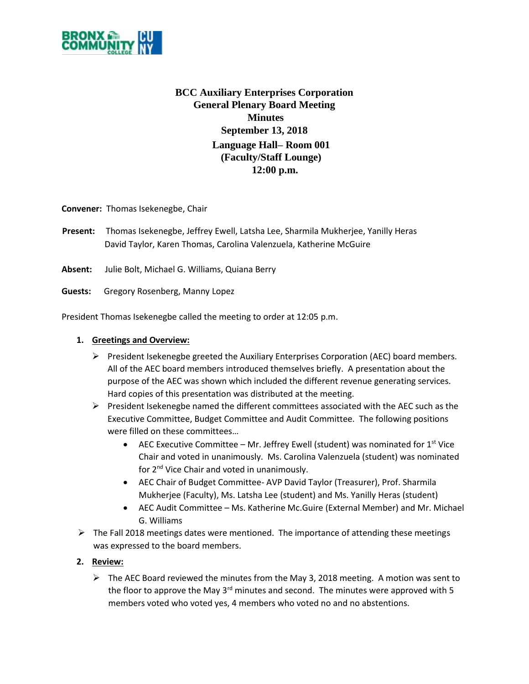

# **BCC Auxiliary Enterprises Corporation General Plenary Board Meeting Minutes September 13, 2018 Language Hall– Room 001 (Faculty/Staff Lounge) 12:00 p.m.**

**Convener:** Thomas Isekenegbe, Chair

**Present:** Thomas Isekenegbe, Jeffrey Ewell, Latsha Lee, Sharmila Mukherjee, Yanilly Heras David Taylor, Karen Thomas, Carolina Valenzuela, Katherine McGuire

**Absent:** Julie Bolt, Michael G. Williams, Quiana Berry

**Guests:** Gregory Rosenberg, Manny Lopez

President Thomas Isekenegbe called the meeting to order at 12:05 p.m.

### **1. Greetings and Overview:**

- $\triangleright$  President Isekenegbe greeted the Auxiliary Enterprises Corporation (AEC) board members. All of the AEC board members introduced themselves briefly. A presentation about the purpose of the AEC was shown which included the different revenue generating services. Hard copies of this presentation was distributed at the meeting.
- $\triangleright$  President Isekenegbe named the different committees associated with the AEC such as the Executive Committee, Budget Committee and Audit Committee. The following positions were filled on these committees…
	- **AEC Executive Committee Mr. Jeffrey Ewell (student) was nominated for 1st Vice** Chair and voted in unanimously. Ms. Carolina Valenzuela (student) was nominated for 2<sup>nd</sup> Vice Chair and voted in unanimously.
	- AEC Chair of Budget Committee- AVP David Taylor (Treasurer), Prof. Sharmila Mukherjee (Faculty), Ms. Latsha Lee (student) and Ms. Yanilly Heras (student)
	- AEC Audit Committee Ms. Katherine Mc.Guire (External Member) and Mr. Michael G. Williams
- $\triangleright$  The Fall 2018 meetings dates were mentioned. The importance of attending these meetings was expressed to the board members.

#### **2. Review:**

 $\triangleright$  The AEC Board reviewed the minutes from the May 3, 2018 meeting. A motion was sent to the floor to approve the May  $3^{rd}$  minutes and second. The minutes were approved with 5 members voted who voted yes, 4 members who voted no and no abstentions.